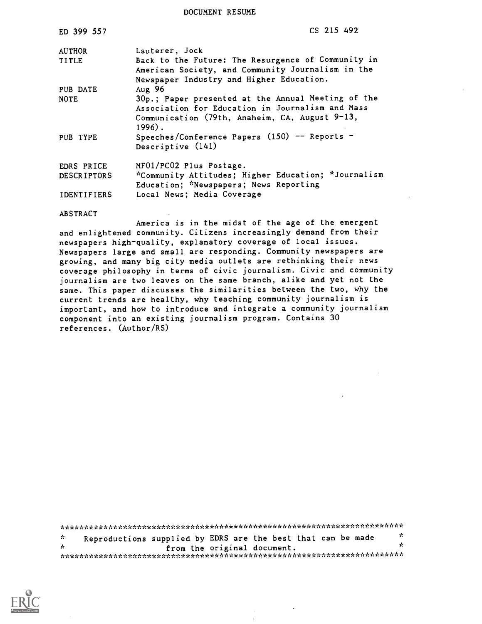DOCUMENT RESUME

| ED 399 557         | CS 215 492                                                                                                                                                           |
|--------------------|----------------------------------------------------------------------------------------------------------------------------------------------------------------------|
| <b>AUTHOR</b>      | Lauterer, Jock                                                                                                                                                       |
| <b>TITLE</b>       | Back to the Future: The Resurgence of Community in<br>American Society, and Community Journalism in the<br>Newspaper Industry and Higher Education.                  |
| PUB DATE           | Aug 96                                                                                                                                                               |
| <b>NOTE</b>        | 30p.; Paper presented at the Annual Meeting of the<br>Association for Education in Journalism and Mass<br>Communication (79th, Anaheim, CA, August 9-13,<br>$1996$ . |
| PUB TYPE           | Speeches/Conference Papers $(150)$ -- Reports -<br>Descriptive (141)                                                                                                 |
| EDRS PRICE         | MF01/PC02 Plus Postage.                                                                                                                                              |
| <b>DESCRIPTORS</b> | *Community Attitudes; Higher Education; *Journalism<br>Education; *Newspapers; News Reporting                                                                        |
| <b>IDENTIFIERS</b> | Local News; Media Coverage                                                                                                                                           |

ABSTRACT

America is in the midst of the age of the emergent and enlightened community. Citizens increasingly demand from their newspapers high-quality, explanatory coverage of local issues. Newspapers large and small are responding. Community newspapers are growing, and many big city media outlets are rethinking their news coverage philosophy in terms of civic journalism. Civic and community journalism are two leaves on the same branch, alike and yet not the same. This paper discusses the similarities between the two, why the current trends are healthy, why teaching community journalism is important, and how to introduce and integrate a community journalism component into an existing journalism program. Contains 30 references. (Author/RS)

\*\*\*\*\*\*\*\*\*\*\*\*\*\*\*\*\*\*\*\*\*\*\*i.AAk\*\*\*\*\*\*\*\*\*\*\*\*\*\*\*\*\*\*\*\*\*\*\*\*\*\*\*\*\*\*\*\*\*\*\*\*\*\*\*\*\*\*\*\* \* Reproductions supplied by EDRS are the best that can be made  $\frac{x}{t}$ \* from the original document. \* \*\*\*\*\*\*\*\*\*\*\*\*\*\*\*\*\*\*\*\*\*\*\*\*\*\*\*\*\*\*\*\*\*\*\*\*\*\*\*\*\*\*\*\*\*\*\*\*\*\*\*\*\*\*\*\*\*\*\*\*\*\*\*\*\*\*\*\*\*\*\*

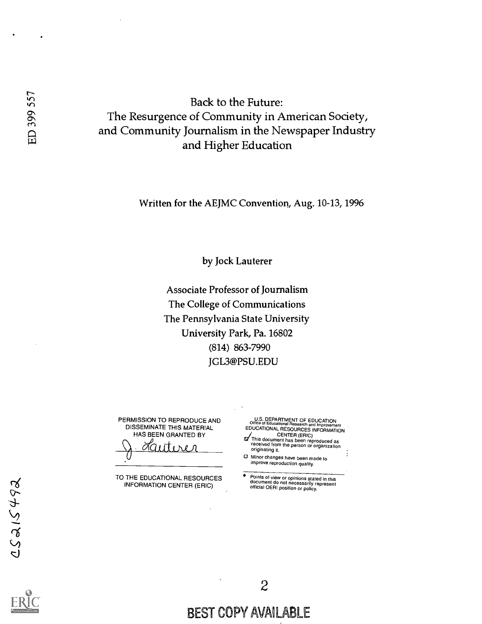Back to the Future: Back to the Future:<br>  $\begin{array}{r} \text{Back to the Future:} \\ \text{On } \\ \text{On } \\ \text{On } \\ \text{On } \\ \text{On } \\ \text{On } \\ \text{On } \\ \text{On } \\ \text{On } \\ \text{On } \\ \text{On } \\ \text{On } \\ \text{On } \\ \text{On } \\ \text{On } \\ \text{On } \\ \text{On } \\ \text{On } \\ \text{On } \\ \text{On } \\ \text{On } \\ \text{On } \\ \text{On } \\ \text{On } \\ \text{On } \\ \text{On } \\ \text{On } \\ \text{On } \\ \text{On } \\ \text{On } \\ \text{$ and Higher Education

Written for the AEJMC Convention, Aug. 10-13, 1996

by Jock Lauterer

Associate Professor of Journalism The College of Communications The Pennsylvania State University University Park, Pa. 16802 (814) 863-7990 JGL3@PSU.EDU

PERMISSION TO REPRODUCE AND DISSEMINATE THIS MATERIAL HAS BEEN GRANTED BY

J Lauterer

TO THE EDUCATIONAL RESOURCES INFORMATION CENTER (ERIC)

U.S. DEPARTMENT OF EDUCATION Office of Educational Research and Improvement EDUCATIONAL RESOURCES INFORMATION CENTER (ERIC)<br>
This document has been reproduced as<br>
feceived from the person or organization<br>
originating it.

Minor changes have been made to improve reproduction quality.

Points of view or opinions stated in this document do not necessarily represent official OERI position or policy.



BEST COPY AVAILABLE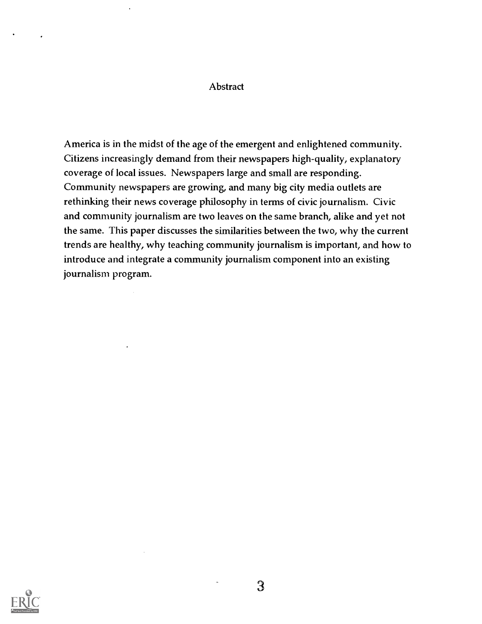#### Abstract

America is in the midst of the age of the emergent and enlightened community. Citizens increasingly demand from their newspapers high-quality, explanatory coverage of local issues. Newspapers large and small are responding. Community newspapers are growing, and many big city media outlets are rethinking their news coverage philosophy in terms of civic journalism. Civic and community journalism are two leaves on the same branch, alike and yet not the same. This paper discusses the similarities between the two, why the current trends are healthy, why teaching community journalism is important, and how to introduce and integrate a community journalism component into an existing journalism program.

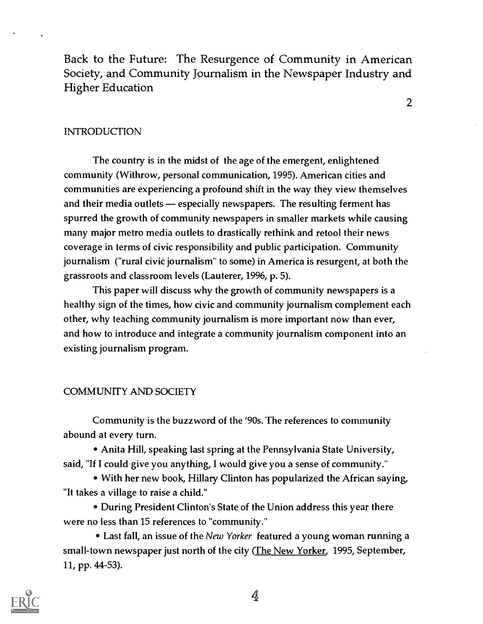Back to the Future: The Resurgence of Community in American Society, and Community Journalism in the Newspaper Industry and Higher Education

2

#### INTRODUCTION

The country is in the midst of the age of the emergent, enlightened community (Withrow, personal communication, 1995). American cities and communities are experiencing a profound shift in the way they view themselves and their media outlets — especially newspapers. The resulting ferment has spurred the growth of community newspapers in smaller markets while causing many major metro media outlets to drastically rethink and retool their news coverage in terms of civic responsibility and public participation. Community journalism ("rural civic journalism" to some) in America is resurgent, at both the grassroots and classroom levels (Lauterer, 1996, p. 5).

This paper will discuss why the growth of community newspapers is a healthy sign of the times, how civic and community journalism complement each other, why teaching community journalism is more important now than ever, and how to introduce and integrate a community journalism component into an existing journalism program.

#### COMMUNITY AND SOCIETY

Community is the buzzword of the '90s. The references to community abound at every turn.

Anita Hill, speaking last spring at the Pennsylvania State University, said, "If I could give you anything, I would give you a sense of community."

With her new book, Hilary Clinton has popularized the African saying, "It takes a village to raise a child."

During President Clinton's State of the Union address this year there were no less than 15 references to "community."

• Last fall, an issue of the New Yorker featured a young woman running a small-town newspaper just north of the city (The New Yorker, 1995, September, 11, pp. 44-53).

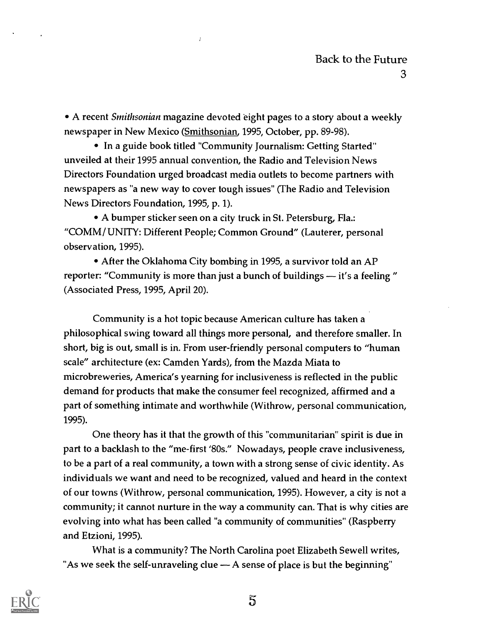• A recent Smithsonian magazine devoted eight pages to a story about a weekly newspaper in New Mexico (Smithsonian, 1995, October, pp. 89-98).

• In a guide book titled "Community Journalism: Getting Started" unveiled at their 1995 annual convention, the Radio and Television News Directors Foundation urged broadcast media outlets to become partners with newspapers as "a new way to cover tough issues" (The Radio and Television News Directors Foundation, 1995, p. 1).

A bumper sticker seen on a city truck in St. Petersburg, Ha.: "COMM/ UNITY: Different People; Common Ground" (Lauterer, personal observation, 1995).

• After the Oklahoma City bombing in 1995, a survivor told an AP reporter: "Community is more than just a bunch of buildings - it's a feeling " (Associated Press, 1995, April 20).

Community is a hot topic because American culture has taken a philosophical swing toward all things more personal, and therefore smaller. In short, big is out, small is in. From user-friendly personal computers to "human scale" architecture (ex: Camden Yards), from the Mazda Miata to microbreweries, America's yearning for inclusiveness is reflected in the public demand for products that make the consumer feel recognized, affirmed and a part of something intimate and worthwhile (Withrow, personal communication, 1995).

One theory has it that the growth of this "communitarian" spirit is due in part to a backlash to the "me-first '80s." Nowadays, people crave inclusiveness, to be a part of a real community, a town with a strong sense of civic identity. As individuals we want and need to be recognized, valued and heard in the context of our towns (Withrow, personal communication, 1995). However, a city is not a community; it cannot nurture in the way a community can. That is why cities are evolving into what has been called "a community of communities" (Raspberry and Etzioni, 1995).

What is a community? The North Carolina poet Elizabeth Sewell writes, "As we seek the self-unraveling clue  $-$  A sense of place is but the beginning"

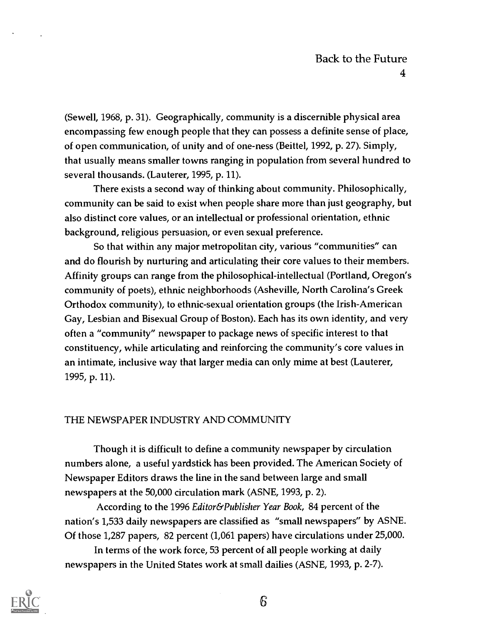(Sewell, 1968, p. 31). Geographically, community is a discernible physical area encompassing few enough people that they can possess a definite sense of place, of open communication, of unity and of one-ness (Beittel, 1992, p. 27). Simply, that usually means smaller towns ranging in population from several hundred to several thousands. (Lauterer, 1995, p. 11).

There exists a second way of thinking about community. Philosophically, community can be said to exist when people share more than just geography, but also distinct core values, or an intellectual or professional orientation, ethnic background, religious persuasion, or even sexual preference.

So that within any major metropolitan city, various "communities" can and do flourish by nurturing and articulating their core values to their members. Affinity groups can range from the philosophical-intellectual (Portland, Oregon's community of poets), ethnic neighborhoods (Asheville, North Carolina's Greek Orthodox community), to ethnic-sexual orientation groups (the Irish-American Gay, Lesbian and Bisexual Group of Boston). Each has its own identity, and very often a "community" newspaper to package news of specific interest to that constituency, while articulating and reinforcing the community's core values in an intimate, inclusive way that larger media can only mime at best (Lauterer, 1995, p. 11).

## THE NEWSPAPER INDUSTRY AND COMMUNITY

Though it is difficult to define a community newspaper by circulation numbers alone, a useful yardstick has been provided. The American Society of Newspaper Editors draws the line in the sand between large and small newspapers at the 50,000 circulation mark (ASNE, 1993, p. 2).

According to the 1996 Editor&Publisher Year Book, 84 percent of the nation's 1,533 daily newspapers are classified as "small newspapers" by ASNE. Of those 1,287 papers, 82 percent (1,061 papers) have circulations under 25,000.

In terms of the work force, 53 percent of all people working at daily newspapers in the United States work at small dailies (ASNE, 1993, p. 2-7).

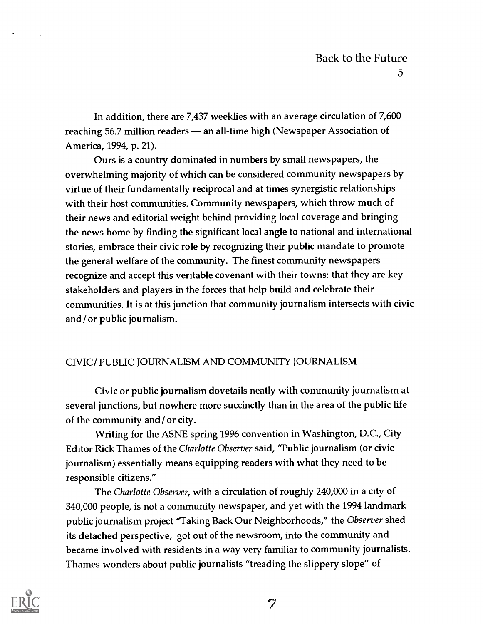In addition, there are 7,437 weeklies with an average circulation of 7,600 reaching 56.7 million readers — an all-time high (Newspaper Association of America, 1994, p. 21).

Ours is a country dominated in numbers by small newspapers, the overwhelming majority of which can be considered community newspapers by virtue of their fundamentally reciprocal and at times synergistic relationships with their host communities. Community newspapers, which throw much of their news and editorial weight behind providing local coverage and bringing the news home by finding the significant local angle to national and international stories, embrace their civic role by recognizing their public mandate to promote the general welfare of the community. The finest community newspapers recognize and accept this veritable covenant with their towns: that they are key stakeholders and players in the forces that help build and celebrate their communities. It is at this junction that community journalism intersects with civic and/ or public journalism.

#### CIVIC/ PUBLIC JOURNALISM AND COMMUNITY JOURNALISM

Civic or public journalism dovetails neatly with community journalism at several junctions, but nowhere more succinctly than in the area of the public life of the community and/ or city.

Writing for the ASNE spring 1996 convention in Washington, D.C., City Editor Rick Thames of the Charlotte Observer said, "Public journalism (or civic journalism) essentially means equipping readers with what they need to be responsible citizens."

The Charlotte Observer, with a circulation of roughly 240,000 in a city of 340,000 people, is not a community newspaper, and yet with the 1994 landmark public journalism project "Taking Back Our Neighborhoods," the Observer shed its detached perspective, got out of the newsroom, into the community and became involved with residents in a way very familiar to community journalists. Thames wonders about public journalists "treading the slippery slope" of

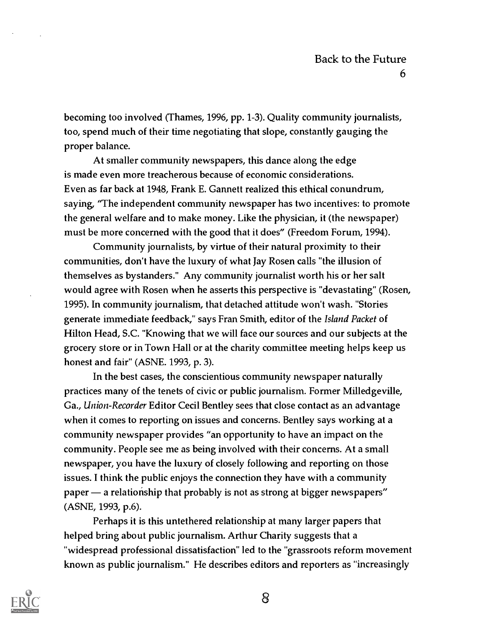becoming too involved (Thames, 1996, pp. 1-3). Quality community journalists, too, spend much of their time negotiating that slope, constantly gauging the proper balance.

At smaller community newspapers, this dance along the edge is made even more treacherous because of economic considerations. Even as far back at 1948, Frank E. Gannett realized this ethical conundrum, saying, "The independent community newspaper has two incentives: to promote the general welfare and to make money. Like the physician, it (the newspaper) must be more concerned with the good that it does" (Freedom Forum, 1994).

Community journalists, by virtue of their natural proximity to their communities, don't have the luxury of what Jay Rosen calls "the illusion of themselves as bystanders." Any community journalist worth his or her salt would agree with Rosen when he asserts this perspective is "devastating" (Rosen, 1995). In community journalism, that detached attitude won't wash. "Stories generate immediate feedback," says Fran Smith, editor of the Island Packet of Hilton Head, S.C. "Knowing that we will face our sources and our subjects at the grocery store or in Town Hall or at the charity committee meeting helps keep us honest and fair" (ASNE. 1993, p. 3).

In the best cases, the conscientious community newspaper naturally practices many of the tenets of civic or public journalism. Former Milledgeville, Ga., Union-Recorder Editor Cecil Bentley sees that close contact as an advantage when it comes to reporting on issues and concerns. Bentley says working at a community newspaper provides "an opportunity to have an impact on the community. People see me as being involved with their concerns. At a small newspaper, you have the luxury of closely following and reporting on those issues. I think the public enjoys the connection they have with a community  $p$ aper — a relationship that probably is not as strong at bigger newspapers" (ASNE, 1993, p.6).

Perhaps it is this untethered relationship at many larger papers that helped bring about public journalism. Arthur Charity suggests that a "widespread professional dissatisfaction" led to the "grassroots reform movement known as public journalism." He describes editors and reporters as "increasingly

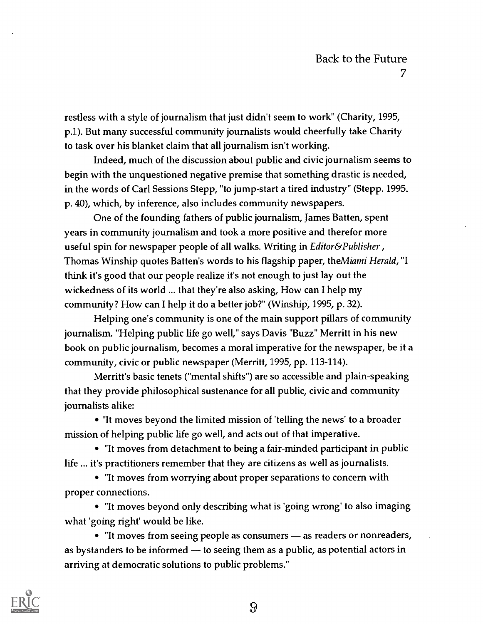restless with a style of journalism that just didn't seem to work" (Charity, 1995, p.1). But many successful community journalists would cheerfully take Charity to task over his blanket claim that all journalism isn't working.

Indeed, much of the discussion about public and civic journalism seems to begin with the unquestioned negative premise that something drastic is needed, in the words of Carl Sessions Stepp, "to jump-start a tired industry" (Stepp. 1995. p. 40), which, by inference, also includes community newspapers.

One of the founding fathers of public journalism, James Batten, spent years in community journalism and took a more positive and therefor more useful spin for newspaper people of all walks. Writing in *Editor&Publisher*, Thomas Winship quotes Batten's words to his flagship paper, the Miami Herald, "I think it's good that our people realize it's not enough to just lay out the wickedness of its world ... that they're also asking, How can I help my community? How can I help it do a better job?" (Winship, 1995, p. 32).

Helping one's community is one of the main support pillars of community journalism. "Helping public life go well," says Davis "Buzz" Merritt in his new book on public journalism, becomes a moral imperative for the newspaper, be it a community, civic or public newspaper (Merritt, 1995, pp. 113-114).

Merritt's basic tenets ("mental shifts") are so accessible and plain-speaking that they provide philosophical sustenance for all public, civic and community journalists alike:

"It moves beyond the limited mission of 'telling the news' to a broader mission of helping public life go well, and acts out of that imperative.

"It moves from detachment to being a fair-minded participant in public life ... it's practitioners remember that they are citizens as well as journalists.

"It moves from worrying about proper separations to concern with proper connections.

"It moves beyond only describing what is 'going wrong' to also imaging what 'going right' would be like.

• "It moves from seeing people as consumers - as readers or nonreaders, as bystanders to be informed  $-$  to seeing them as a public, as potential actors in arriving at democratic solutions to public problems."

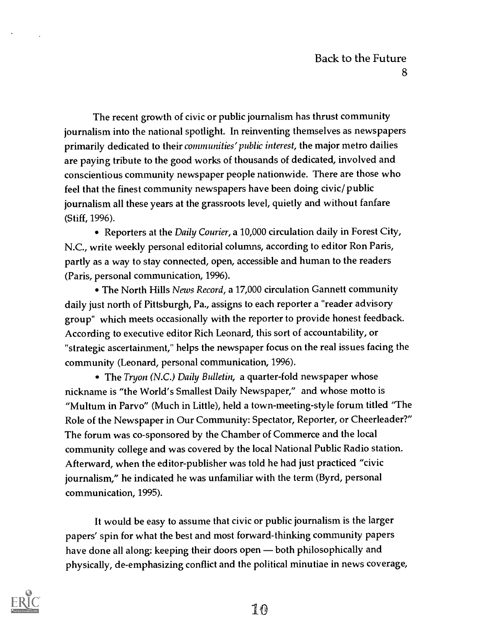The recent growth of civic or public journalism has thrust community journalism into the national spotlight. In reinventing themselves as newspapers primarily dedicated to their *communities' public interest*, the major metro dailies are paying tribute to the good works of thousands of dedicated, involved and conscientious community newspaper people nationwide. There are those who feel that the finest community newspapers have been doing civic/ public journalism all these years at the grassroots level, quietly and without fanfare (Stiff, 1996).

• Reporters at the *Daily Courier*, a 10,000 circulation daily in Forest City, N.C., write weekly personal editorial columns, according to editor Ron Paris, partly as a way to stay connected, open, accessible and human to the readers (Paris, personal communication, 1996).

• The North Hills News Record, a 17,000 circulation Gannett community daily just north of Pittsburgh, Pa., assigns to each reporter a "reader advisory group" which meets occasionally with the reporter to provide honest feedback. According to executive editor Rich Leonard, this sort of accountability, or "strategic ascertainment," helps the newspaper focus on the real issues facing the community (Leonard, personal communication, 1996).

• The *Tryon* (N.C.) Daily Bulletin, a quarter-fold newspaper whose nickname is "the World's Smallest Daily Newspaper," and whose motto is "Multum in Parvo" (Much in Little), held a town-meeting-style forum titled "The Role of the Newspaper in Our Community: Spectator, Reporter, or Cheerleader?" The forum was co-sponsored by the Chamber of Commerce and the local community college and was covered by the local National Public Radio station. Afterward, when the editor-publisher was told he had just practiced "civic journalism," he indicated he was unfamiliar with the term (Byrd, personal communication, 1995).

It would be easy to assume that civic or public journalism is the larger papers' spin for what the best and most forward-thinking community papers have done all along: keeping their doors open - both philosophically and physically, de-emphasizing conflict and the political minutiae in news coverage,

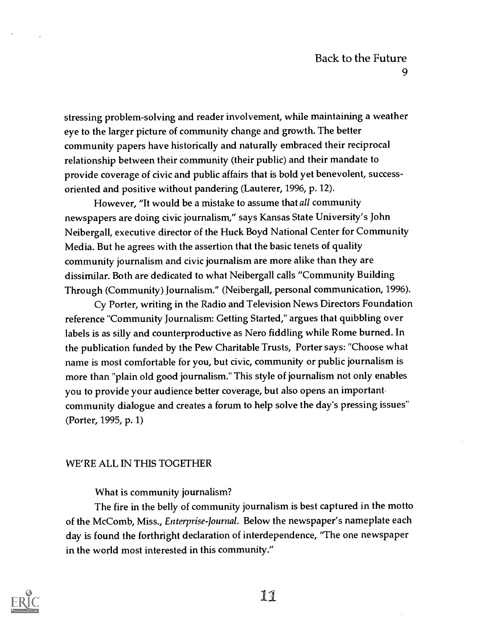stressing problem-solving and reader involvement, while maintaining a weather eye to the larger picture of community change and growth. The better community papers have historically and naturally embraced their reciprocal relationship between their community (their public) and their mandate to provide coverage of civic and public affairs that is bold yet benevolent, successoriented and positive without pandering (Lauterer, 1996, p. 12).

However, "It would be a mistake to assume that all community newspapers are doing civic journalism," says Kansas State University's John Neibergall, executive director of the Huck Boyd National Center for Community Media. But he agrees with the assertion that the basic tenets of quality community journalism and civic journalism are more alike than they are dissimilar. Both are dedicated to what Neibergall calls "Community Building Through (Community) Journalism." (Neibergall, personal communication, 1996).

Cy Porter, writing in the Radio and Television News Directors Foundation reference "Community Journalism: Getting Started," argues that quibbling over labels is as silly and counterproductive as Nero fiddling while Rome burned. In the publication funded by the Pew Charitable Trusts, Porter says: "Choose what name is most comfortable for you, but civic, community or public journalism is more than "plain old good journalism." This style of journalism not only enables you to provide your audience better coverage, but also opens an important. community dialogue and creates a forum to help solve the day's pressing issues" (Porter, 1995, p. 1)

#### WE'RE ALL IN THIS TOGETHER

#### What is community journalism?

The fire in the belly of community journalism is best captured in the motto of the McComb, Miss., Enterprise-Journal. Below the newspaper's nameplate each day is found the forthright declaration of interdependence, "The one newspaper in the world most interested in this community."

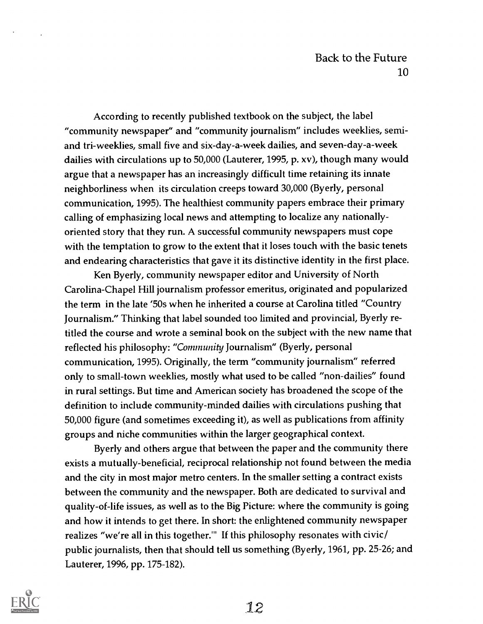According to recently published textbook on the subject, the label "community newspaper" and "community journalism" includes weeklies, semiand tri-weeklies, small five and six-day-a-week dailies, and seven-day-a-week dailies with circulations up to 50,000 (Lauterer, 1995, p. xv), though many would argue that a newspaper has an increasingly difficult time retaining its innate neighborliness when its circulation creeps toward 30,000 (Byerly, personal communication, 1995). The healthiest community papers embrace their primary calling of emphasizing local news and attempting to localize any nationallyoriented story that they run. A successful community newspapers must cope with the temptation to grow to the extent that it loses touch with the basic tenets and endearing characteristics that gave it its distinctive identity in the first place.

Ken Byerly, community newspaper editor and University of North Carolina-Chapel Hill journalism professor emeritus, originated and popularized the term in the late '50s when he inherited a course at Carolina titled "Country Journalism." Thinking that label sounded too limited and provincial, Byerly retitled the course and wrote a seminal book on the subject with the new name that reflected his philosophy: "Community Journalism" (Byerly, personal communication, 1995). Originally, the term "community journalism" referred only to small-town weeklies, mostly what used to be called "non-dailies" found in rural settings. But time and American society has broadened the scope of the definition to include community-minded dailies with circulations pushing that 50,000 figure (and sometimes exceeding it), as well as publications from affinity groups and niche communities within the larger geographical context.

Byerly and others argue that between the paper and the community there exists a mutually-beneficial, reciprocal relationship not found between the media and the city in most major metro centers. In the smaller setting a contract exists between the community and the newspaper. Both are dedicated to survival and quality-of-life issues, as well as to the Big Picture: where the community is going and how it intends to get there. In short: the enlightened community newspaper realizes "we're all in this together.'" If this philosophy resonates with civic/ public journalists, then that should tell us something (Byerly, 1961, pp. 25-26; and Lauterer, 1996, pp. 175-182).

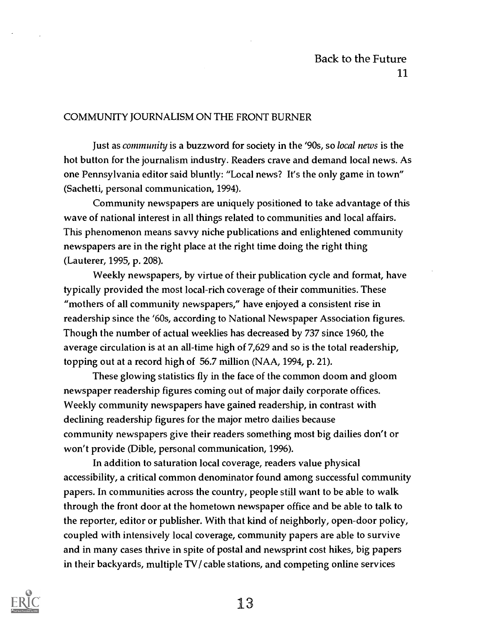## Back to the Future 11

#### COMMUNITY JOURNALISM ON THE FRONT BURNER

Just as community is a buzzword for society in the '90s, so local news is the hot button for the journalism industry. Readers crave and demand local news. As one Pennsylvania editor said bluntly: "Local news? It's the only game in town" (Sachetti, personal communication, 1994).

Community newspapers are uniquely positioned to take advantage of this wave of national interest in all things related to communities and local affairs. This phenomenon means savvy niche publications and enlightened community newspapers are in the right place at the right time doing the right thing (Lauterer, 1995, p. 208).

Weekly newspapers, by virtue of their publication cycle and format, have typically provided the most local-rich coverage of their communities. These "mothers of all community newspapers," have enjoyed a consistent rise in readership since the '60s, according to National Newspaper Association figures. Though the number of actual weeklies has decreased by 737 since 1960, the average circulation is at an all-time high of 7,629 and so is the total readership, topping out at a record high of 56.7 million (NAA, 1994, p. 21).

These glowing statistics fly in the face of the common doom and gloom newspaper readership figures coming out of major daily corporate offices. Weekly community newspapers have gained readership, in contrast with declining readership figures for the major metro dailies because community newspapers give their readers something most big dailies don't or won't provide (Dible, personal communication, 1996).

In addition to saturation local coverage, readers value physical accessibility, a critical common denominator found among successful community papers. In communities across the country, people still want to be able to walk through the front door at the hometown newspaper office and be able to talk to the reporter, editor or publisher. With that kind of neighborly, open-door policy, coupled with intensively local coverage, community papers are able to survive and in many cases thrive in spite of postal and newsprint cost hikes, big papers in their backyards, multiple TV/ cable stations, and competing online services

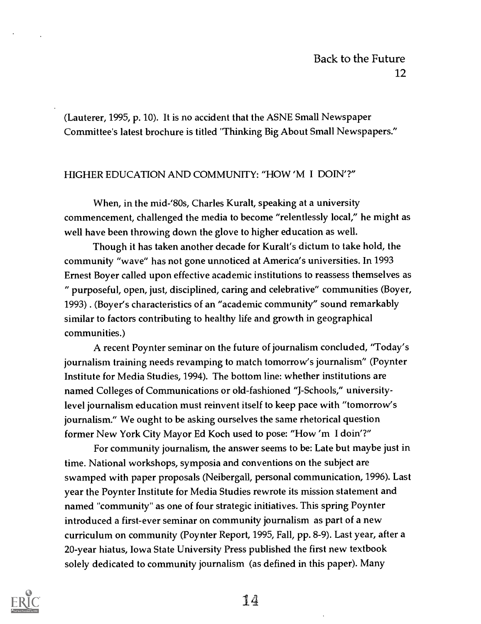(Lauterer, 1995, p. 10). It is no accident that the ASNE Small Newspaper Committee's latest brochure is titled "Thinking Big About Small Newspapers."

#### HIGHER EDUCATION AND COMMUNITY: "HOW 'M I DON'?"

When, in the mid-'80s, Charles Kuralt, speaking at a university commencement, challenged the media to become "relentlessly local," he might as well have been throwing down the glove to higher education as well.

Though it has taken another decade for Kuralt's dictum to take hold, the community "wave" has not gone unnoticed at America's universities. In 1993 Ernest Boyer called upon effective academic institutions to reassess themselves as " purposeful, open, just, disciplined, caring and celebrative" communities (Boyer, 1993) . (Boyer's characteristics of an "academic community" sound remarkably similar to factors contributing to healthy life and growth in geographical communities.)

A recent Poynter seminar on the future of journalism concluded, 'Today's journalism training needs revamping to match tomorrow's journalism" (Poynter Institute for Media Studies, 1994). The bottom line: whether institutions are named Colleges of Communications or old-fashioned "J-Schools," universitylevel journalism education must reinvent itself to keep pace with "tomorrow's journalism." We ought to be asking ourselves the same rhetorical question former New York City Mayor Ed Koch used to pose: "How 'm I doin'?"

For community journalism, the answer seems to be: Late but maybe just in time. National workshops, symposia and conventions on the subject are swamped with paper proposals (Neibergall, personal communication, 1996). Last year the Poynter Institute for Media Studies rewrote its mission statement and named "community" as one of four strategic initiatives. This spring Poynter introduced a first-ever seminar on community journalism as part of a new curriculum on community (Poynter Report, 1995, Fall, pp. 8-9). Last year, after a 20-year hiatus, Iowa State University Press published the first new textbook solely dedicated to community journalism (as defined in this paper). Many

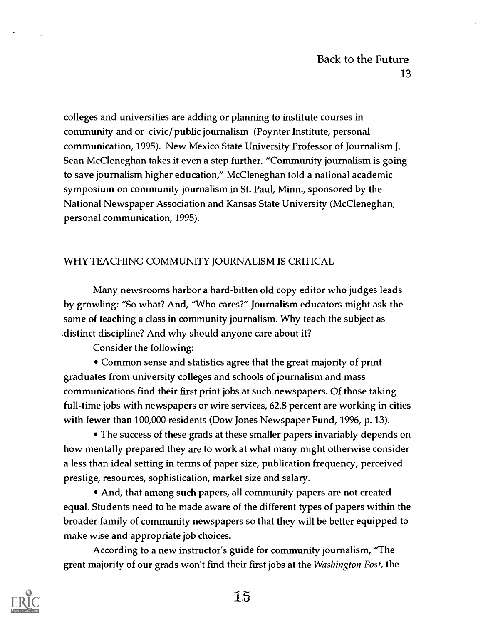colleges and universities are adding or planning to institute courses in community and or civic/public journalism (Poynter Institute, personal communication, 1995). New Mexico State University Professor of Journalism J. Sean McCleneghan takes it even a step further. "Community journalism is going to save journalism higher education," McCleneghan told a national academic symposium on community journalism in St. Paul, Minn., sponsored by the National Newspaper Association and Kansas State University (McCleneghan, personal communication, 1995).

## WHY TEACHING COMMUNITY JOURNALISM IS CRITICAL

Many newsrooms harbor a hard-bitten old copy editor who judges leads by growling: "So what? And, "Who cares?" Journalism educators might ask the same of teaching a class in community journalism. Why teach the subject as distinct discipline? And why should anyone care about it?

Consider the following:

Common sense and statistics agree that the great majority of print graduates from university colleges and schools of journalism and mass communications find their first print jobs at such newspapers. Of those taking full-time jobs with newspapers or wire services, 62.8 percent are working in cities with fewer than 100,000 residents (Dow Jones Newspaper Fund, 1996, p. 13).

The success of these grads at these smaller papers invariably depends on how mentally prepared they are to work at what many might otherwise consider a less than ideal setting in terms of paper size, publication frequency, perceived prestige, resources, sophistication, market size and salary.

• And, that among such papers, all community papers are not created equal. Students need to be made aware of the different types of papers within the broader family of community newspapers so that they will be better equipped to make wise and appropriate job choices.

According to a new instructor's guide for community journalism, 'The great majority of our grads won't find their first jobs at the Washington Post, the

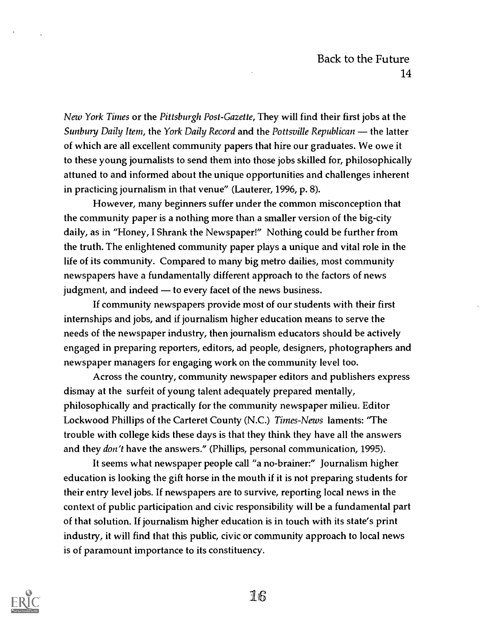New York Times or the Pittsburgh Post-Gazette, They will find their first jobs at the Sunbury Daily Item, the York Daily Record and the Pottsville Republican  $-$  the latter of which are all excellent community papers that hire our graduates. We owe it to these young journalists to send them into those jobs skilled for, philosophically attuned to and informed about the unique opportunities and challenges inherent in practicing journalism in that venue" (Lauterer, 1996, p. 8).

However, many beginners suffer under the common misconception that the community paper is a nothing more than a smaller version of the big-city daily, as in "Honey, I Shrank the Newspaper!" Nothing could be further from the truth. The enlightened community paper plays a unique and vital role in the life of its community. Compared to many big metro dailies, most community newspapers have a fundamentally different approach to the factors of news judgment, and indeed — to every facet of the news business.

If community newspapers provide most of our students with their first internships and jobs, and if journalism higher education means to serve the needs of the newspaper industry, then journalism educators should be actively engaged in preparing reporters, editors, ad people, designers, photographers and newspaper managers for engaging work on the community level too.

Across the country, community newspaper editors and publishers express dismay at the surfeit of young talent adequately prepared mentally, philosophically and practically for the community newspaper milieu. Editor Lockwood Phillips of the Carteret County (N.C.) Times-News laments: "The trouble with college kids these days is that they think they have all the answers and they *don't* have the answers." (Phillips, personal communication, 1995).

It seems what newspaper people call "a no-brainer:" Journalism higher education is looking the gift horse in the mouth if it is not preparing students for their entry level jobs. If newspapers are to survive, reporting local news in the context of public participation and civic responsibility will be a fundamental part of that solution. If journalism higher education is in touch with its state's print industry, it will find that this public, civic or community approach to local news is of paramount importance to its constituency.

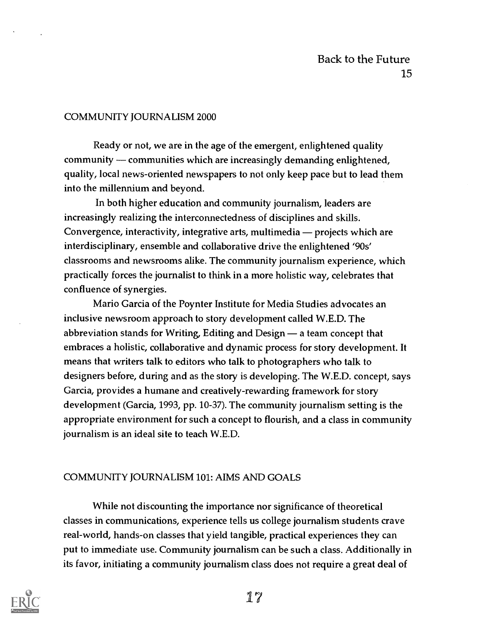#### COMMUNITY JOURNALISM 2000

Ready or not, we are in the age of the emergent, enlightened quality community - communities which are increasingly demanding enlightened, quality, local news-oriented newspapers to not only keep pace but to lead them into the millennium and beyond.

In both higher education and community journalism, leaders are increasingly realizing the interconnectedness of disciplines and skills. Convergence, interactivity, integrative arts, multimedia — projects which are interdisciplinary, ensemble and collaborative drive the enlightened '90s' classrooms and newsrooms alike. The community journalism experience, which practically forces the journalist to think in a more holistic way, celebrates that confluence of synergies.

Mario Garcia of the Poynter Institute for Media Studies advocates an inclusive newsroom approach to story development called W.E.D. The abbreviation stands for Writing, Editing and Design  $-$  a team concept that embraces a holistic, collaborative and dynamic process for story development. It means that writers talk to editors who talk to photographers who talk to designers before, during and as the story is developing. The W.E.D. concept, says Garcia, provides a humane and creatively-rewarding framework for story development (Garcia, 1993, pp. 10-37). The community journalism setting is the appropriate environment for such a concept to flourish, and a class in community journalism is an ideal site to teach W.E.D.

#### COMMUNITY JOURNALISM 101: AIMS AND GOALS

While not discounting the importance nor significance of theoretical classes in communications, experience tells us college journalism students crave real-world, hands-on classes that yield tangible, practical experiences they can put to immediate use. Community journalism can be such a class. Additionally in its favor, initiating a community journalism class does not require a great deal of

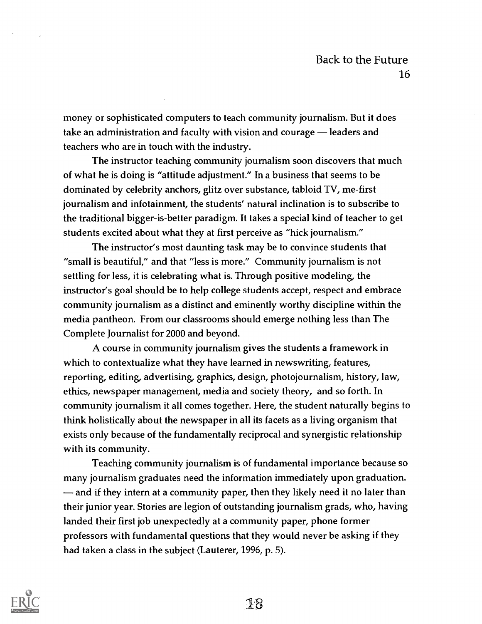money or sophisticated computers to teach community journalism. But it does take an administration and faculty with vision and courage — leaders and teachers who are in touch with the industry.

The instructor teaching community journalism soon discovers that much of what he is doing is "attitude adjustment." In a business that seems to be dominated by celebrity anchors, glitz over substance, tabloid TV, me-first journalism and infotainment, the students' natural inclination is to subscribe to the traditional bigger-is-better paradigm. It takes a special kind of teacher to get students excited about what they at first perceive as "hick journalism."

The instructor's most daunting task may be to convince students that "small is beautiful," and that "less is more." Community journalism is not settling for less, it is celebrating what is. Through positive modeling, the instructor's goal should be to help college students accept, respect and embrace community journalism as a distinct and eminently worthy discipline within the media pantheon. From our classrooms should emerge nothing less than The Complete Journalist for 2000 and beyond.

A course in community journalism gives the students a framework in which to contextualize what they have learned in newswriting, features, reporting, editing, advertising, graphics, design, photojournalism, history, law, ethics, newspaper management, media and society theory, and so forth. In community journalism it all comes together. Here, the student naturally begins to think holistically about the newspaper in all its facets as a living organism that exists only because of the fundamentally reciprocal and synergistic relationship with its community.

Teaching community journalism is of fundamental importance because so many journalism graduates need the information immediately upon graduation. and if they intern at a community paper, then they likely need it no later than their junior year. Stories are legion of outstanding journalism grads, who, having landed their first job unexpectedly at a community paper, phone former professors with fundamental questions that they would never be asking if they had taken a class in the subject (Lauterer, 1996, p. 5).

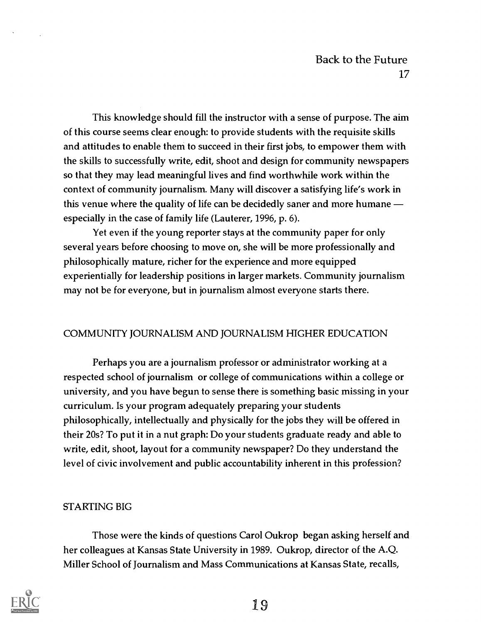This knowledge should fill the instructor with a sense of purpose. The aim of this course seems clear enough: to provide students with the requisite skills and attitudes to enable them to succeed in their first jobs, to empower them with the skills to successfully write, edit, shoot and design for community newspapers so that they may lead meaningful lives and find worthwhile work within the context of community journalism. Many will discover a satisfying life's work in this venue where the quality of life can be decidedly saner and more humane especially in the case of family life (Lauterer, 1996, p. 6).

Yet even if the young reporter stays at the community paper for only several years before choosing to move on, she will be more professionally and philosophically mature, richer for the experience and more equipped experientially for leadership positions in larger markets. Community journalism may not be for everyone, but in journalism almost everyone starts there.

## COMMUNITY JOURNALISM AND JOURNALISM HIGHER EDUCATION

Perhaps you are a journalism professor or administrator working at a respected school of journalism or college of communications within a college or university, and you have begun to sense there is something basic missing in your curriculum. Is your program adequately preparing your students philosophically, intellectually and physically for the jobs they will be offered in their 20s? To put it in a nut graph: Do your students graduate ready and able to write, edit, shoot, layout for a community newspaper? Do they understand the level of civic involvement and public accountability inherent in this profession?

## STARTING BIG

Those were the kinds of questions Carol Oukrop began asking herself and her colleagues at Kansas State University in 1989. Oukrop, director of the A.Q. Miller School of Journalism and Mass Communications at Kansas State, recalls,

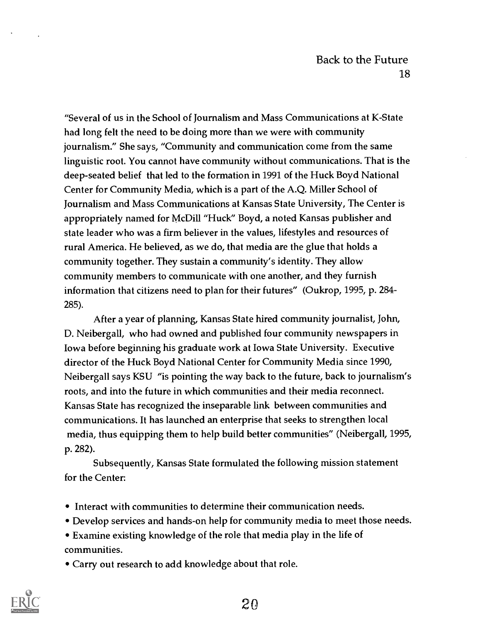"Several of us in the School of Journalism and Mass Communications at K-State had long felt the need to be doing more than we were with community journalism." She says, "Community and communication come from the same linguistic root. You cannot have community without communications. That is the deep-seated belief that led to the formation in 1991 of the Huck Boyd National Center for Community Media, which is a part of the A.Q. Miller School of Journalism and Mass Communications at Kansas State University, The Center is appropriately named for McDill "Huck" Boyd, a noted Kansas publisher and state leader who was a firm believer in the values, lifestyles and resources of rural America. He believed, as we do, that media are the glue that holds a community together. They sustain a community's identity. They allow community members to communicate with one another, and they furnish information that citizens need to plan for their futures" (Oukrop, 1995, p. 284- 285).

After a year of planning, Kansas State hired community journalist, John, D. Neibergall, who had owned and published four community newspapers in Iowa before beginning his graduate work at Iowa State University. Executive director of the Huck Boyd National Center for Community Media since 1990, Neibergall says KSU "is pointing the way back to the future, back to journalism's roots, and into the future in which communities and their media reconnect. Kansas State has recognized the inseparable link between communities and communications. It has launched an enterprise that seeks to strengthen local media, thus equipping them to help build better communities" (Neibergall, 1995, p. 282).

Subsequently, Kansas State formulated the following mission statement for the Center:

- Interact with communities to determine their communication needs.
- Develop services and hands-on help for community media to meet those needs.
- Examine existing knowledge of the role that media play in the life of communities.
- Carry out research to add knowledge about that role.

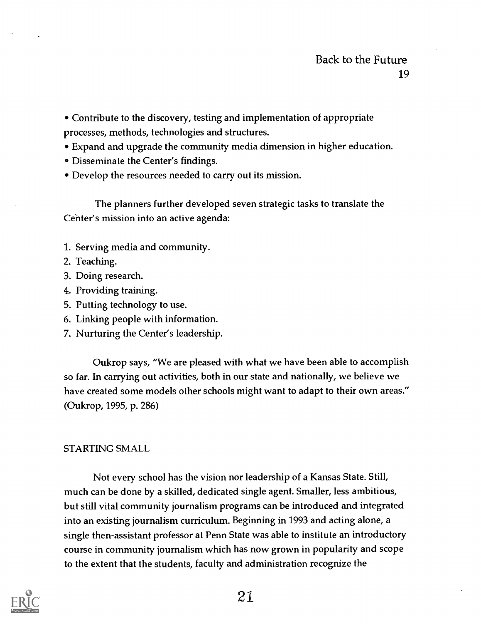- Contribute to the discovery, testing and implementation of appropriate processes, methods, technologies and structures.
- Expand and upgrade the community media dimension in higher education.
- Disseminate the Center's findings.
- Develop the resources needed to carry out its mission.

The planners further developed seven strategic tasks to translate the Cehter's mission into an active agenda:

- 1. Serving media and community.
- 2. Teaching.
- 3. Doing research.
- 4. Providing training.
- 5. Putting technology to use.
- 6. Linking people with information.
- 7. Nurturing the Center's leadership.

Oukrop says, "We are pleased with what we have been able to accomplish so far. In carrying out activities, both in our state and nationally, we believe we have created some models other schools might want to adapt to their own areas." (Oukrop, 1995, p. 286)

## STARTING SMALL

Not every school has the vision nor leadership of a Kansas State. Still, much can be done by a skilled, dedicated single agent. Smaller, less ambitious, but still vital community journalism programs can be introduced and integrated into an existing journalism curriculum. Beginning in 1993 and acting alone, a single then-assistant professor at Penn State was able to institute an introductory course in community journalism which has now grown in popularity and scope to the extent that the students, faculty and administration recognize the

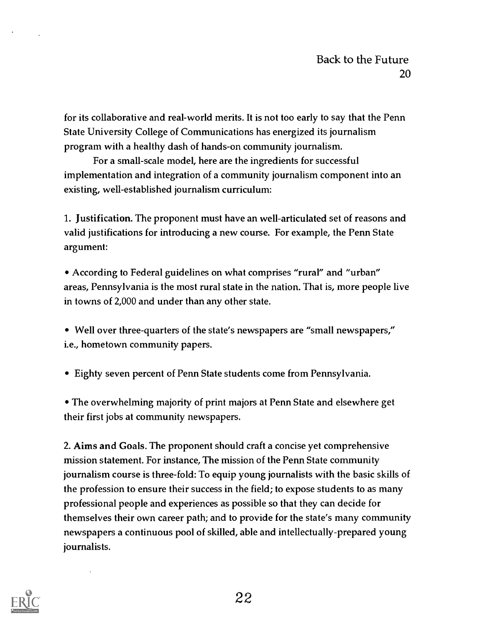for its collaborative and real-world merits. It is not too early to say that the Penn State University College of Communications has energized its journalism program with a healthy dash of hands-on community journalism.

For a small-scale model, here are the ingredients for successful implementation and integration of a community journalism component into an existing, well-established journalism curriculum:

1. Justification. The proponent must have an well-articulated set of reasons and valid justifications for introducing a new course. For example, the Penn State argument:

According to Federal guidelines on what comprises "rural" and "urban" areas, Pennsylvania is the most rural state in the nation. That is, more people live in towns of 2,000 and under than any other state.

Well over three-quarters of the state's newspapers are "small newspapers," i.e., hometown community papers.

Eighty seven percent of Penn State students come from Pennsylvania.

The overwhelming majority of print majors at Penn State and elsewhere get their first jobs at community newspapers.

2. Aims and Goals. The proponent should craft a concise yet comprehensive mission statement. For instance, The mission of the Penn State community journalism course is three-fold: To equip young journalists with the basic skills of the profession to ensure their success in the field; to expose students to as many professional people and experiences as possible so that they can decide for themselves their own career path; and to provide for the state's many community newspapers a continuous pool of skilled, able and intellectually-prepared young journalists.

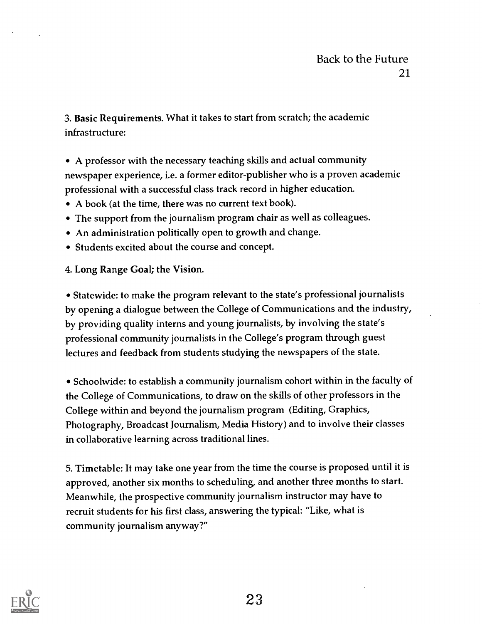3. Basic Requirements. What it takes to start from scratch; the academic infrastructure:

A professor with the necessary teaching skills and actual community newspaper experience, i.e. a former editor-publisher who is a proven academic professional with a successful class track record in higher education.

- A book (at the time, there was no current text book).
- The support from the journalism program chair as well as colleagues.
- An administration politically open to growth and change.
- Students excited about the course and concept.

#### 4. Long Range Goal; the Vision.

Statewide: to make the program relevant to the state's professional journalists by opening a dialogue between the College of Communications and the industry, by providing quality interns and young journalists, by involving the state's professional community journalists in the College's program through guest lectures and feedback from students studying the newspapers of the state.

Schoolwide: to establish a community journalism cohort within in the faculty of the College of Communications, to draw on the skills of other professors in the College within and beyond the journalism program (Editing, Graphics, Photography, Broadcast Journalism, Media History) and to involve their classes in collaborative learning across traditional lines.

5. Timetable: It may take one year from the time the course is proposed until it is approved, another six months to scheduling, and another three months to start. Meanwhile, the prospective community journalism instructor may have to recruit students for his first class, answering the typical: "Like, what is community journalism anyway?"

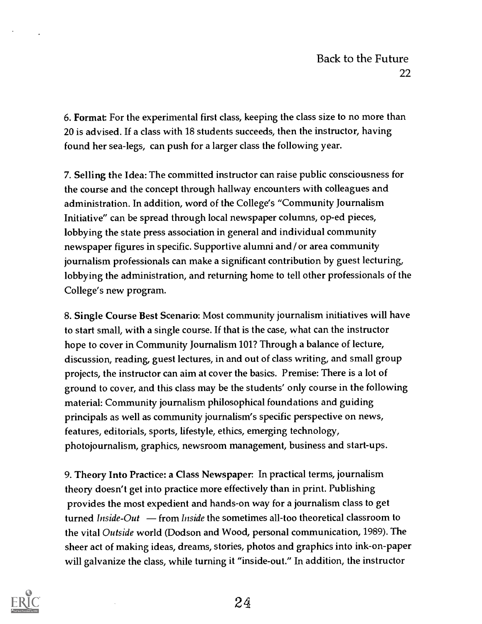6. Format For the experimental first class, keeping the class size to no more than 20 is advised. If a class with 18 students succeeds, then the instructor, having found her sea-legs, can push for a larger class the following year.

7. Selling the Idea: The committed instructor can raise public consciousness for the course and the concept through hallway encounters with colleagues and administration. In addition, word of the College's "Community Journalism Initiative" can be spread through local newspaper columns, op-ed pieces, lobbying the state press association in general and individual community newspaper figures in specific. Supportive alumni and / or area community journalism professionals can make a significant contribution by guest lecturing, lobbying the administration, and returning home to tell other professionals of the College's new program.

8. Single Course Best Scenario: Most community journalism initiatives will have to start small, with a single course. If that is the case, what can the instructor hope to cover in Community Journalism 101? Through a balance of lecture, discussion, reading, guest lectures, in and out of class writing, and small group projects, the instructor can aim at cover the basics. Premise: There is a lot of ground to cover, and this class may be the students' only course in the following material: Community journalism philosophical foundations and guiding principals as well as community journalism's specific perspective on news, features, editorials, sports, lifestyle, ethics, emerging technology, photojournalism, graphics, newsroom management, business and start-ups.

9. Theory Into Practice: a Class Newspaper: In practical terms, journalism theory doesn't get into practice more effectively than in print. Publishing provides the most expedient and hands-on way for a journalism class to get turned Inside-Out  $\mathbf{-}$  from Inside the sometimes all-too theoretical classroom to the vital Outside world (Dodson and Wood, personal communication, 1989). The sheer act of making ideas, dreams, stories, photos and graphics into ink-on-paper will galvanize the class, while turning it "inside-out." In addition, the instructor

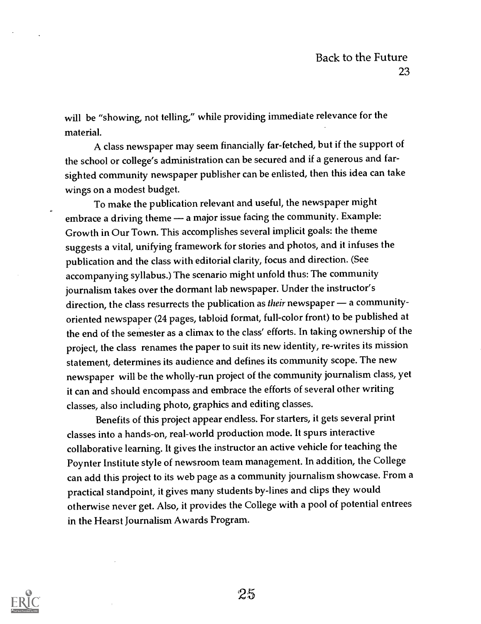will be "showing, not telling," while providing immediate relevance for the material.

A class newspaper may seem financially far-fetched, but if the support of the school or college's administration can be secured and if a generous and farsighted community newspaper publisher can be enlisted, then this idea can take wings on a modest budget.

To make the publication relevant and useful, the newspaper might embrace a driving theme - a major issue facing the community. Example: Growth in Our Town. This accomplishes several implicit goals: the theme suggests a vital, unifying framework for stories and photos, and it infuses the publication and the class with editorial clarity, focus and direction. (See accompanying syllabus.) The scenario might unfold thus: The community journalism takes over the dormant lab newspaper. Under the instructor's direction, the class resurrects the publication as their newspaper - a communityoriented newspaper (24 pages, tabloid format, full-color front) to be published at the end of the semester as a climax to the class' efforts. In taking ownership of the project, the class renames the paper to suit its new identity, re-writes its mission statement, determines its audience and defines its community scope. The new newspaper will be the wholly-run project of the community journalism class, yet it can and should encompass and embrace the efforts of several other writing classes, also including photo, graphics and editing classes.

Benefits of this project appear endless. For starters, it gets several print classes into a hands-on, real-world production mode. It spurs interactive collaborative learning. It gives the instructor an active vehicle for teaching the Poynter Institute style of newsroom team management. In addition, the College can add this project to its web page as a community journalism showcase. From a practical standpoint, it gives many students by-lines and clips they would otherwise never get. Also, it provides the College with a pool of potential entrees in the Hearst Journalism Awards Program.

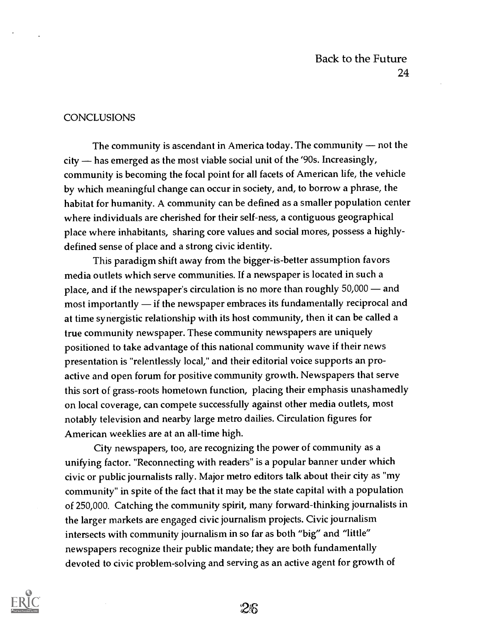#### **CONCLUSIONS**

The community is ascendant in America today. The community  $-$  not the city - has emerged as the most viable social unit of the '90s. Increasingly, community is becoming the focal point for all facets of American life, the vehicle by which meaningful change can occur in society, and, to borrow a phrase, the habitat for humanity. A community can be defined as a smaller population center where individuals are cherished for their self-ness, a contiguous geographical place where inhabitants, sharing core values and social mores, possess a highlydefined sense of place and a strong civic identity.

This paradigm shift away from the bigger-is-better assumption favors media outlets which serve communities. If a newspaper is located in such a place, and if the newspaper's circulation is no more than roughly  $50,000$  - and most importantly  $\frac{d}{dt}$  if the newspaper embraces its fundamentally reciprocal and at time synergistic relationship with its host community, then it can be called a true community newspaper. These community newspapers are uniquely positioned to take advantage of this national community wave if their news presentation is "relentlessly local," and their editorial voice supports an proactive and open forum for positive community growth. Newspapers that serve this sort of grass-roots hometown function, placing their emphasis unashamedly on local coverage, can compete successfully against other media outlets, most notably television and nearby large metro dailies. Circulation figures for American weeklies are at an all-time high.

City newspapers, too, are recognizing the power of community as a unifying factor. "Reconnecting with readers" is a popular banner under which civic or public journalists rally. Major metro editors talk about their city as "my community" in spite of the fact that it may be the state capital with a population of 250,000. Catching the community spirit, many forward-thinking journalists in the larger markets are engaged civic journalism projects. Civic journalism intersects with community journalism in so far as both "big" and "little" newspapers recognize their public mandate; they are both fundamentally devoted to civic problem-solving and serving as an active agent for growth of

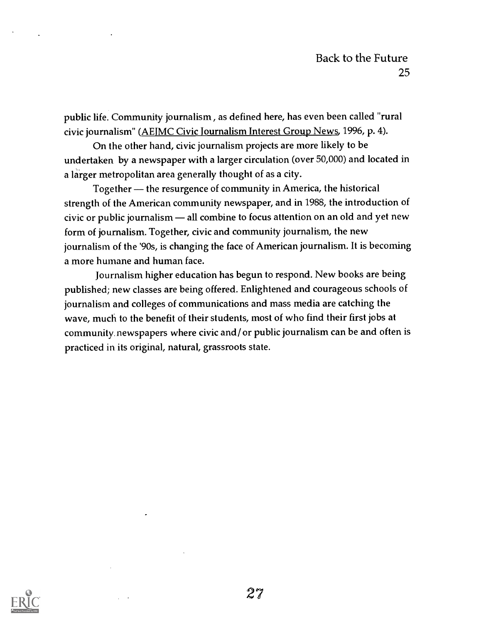public life. Community journalism , as defined here, has even been called "rural civic journalism" (AEJMC Civic journalism Interest Group News, 1996, p. 4).

On the other hand, civic journalism projects are more likely to be undertaken by a newspaper with a larger circulation (over 50,000) and located in a larger metropolitan area generally thought of as a city.

Together — the resurgence of community in America, the historical strength of the American community newspaper, and in 1988, the introduction of civic or public journalism  $-$  all combine to focus attention on an old and yet new form of journalism. Together, civic and community journalism, the new journalism of the '90s, is changing the face of American journalism. It is becoming a more humane and human face.

Journalism higher education has begun to respond. New books are being published; new classes are being offered. Enlightened and courageous schools of journalism and colleges of communications and mass media are catching the wave, much to the benefit of their students, most of who find their first jobs at community. newspapers where civic and/ or public journalism can be and often is practiced in its original, natural, grassroots state.

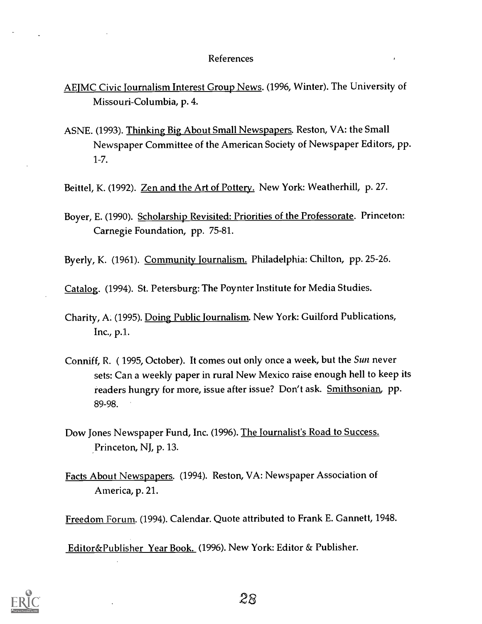#### References

- AEJMC Civic Journalism Interest Group News. (1996, Winter). The University of Missouri-Columbia, p. 4.
- ASNE. (1993). Thinking Big About Small Newspapers. Reston, VA: the Small Newspaper Committee of the American Society of Newspaper Editors, pp. 1-7.

Beittel, K. (1992). Zen and the Art of Pottery. New York: Weatherhill, p. 27.

Boyer, E. (1990). Scholarship Revisited: Priorities of the Professorate. Princeton: Carnegie Foundation, pp. 75-81.

Byerly, K. (1961). Community Journalism. Philadelphia: Chilton, pp. 25-26.

Catalog. (1994). St. Petersburg: The Poynter Institute for Media Studies.

Charity, A. (1995). Doing Public Journalism. New York: Guilford Publications, Inc., p.1..

- Conniff, R. ( 1995, October). It comes out only once a week, but the Sun never sets: Can a weekly paper in rural New Mexico raise enough hell to keep its readers hungry for more, issue after issue? Don't ask. Smithsonian, pp. 89-98.
- Dow Jones Newspaper Fund, Inc. (1996). The Journalist's Road to Success. Princeton, NJ, p. 13.
- Facts About Newspapers. (1994). Reston, VA: Newspaper Association of America, p. 21.

Freedom Forum. (1994). Calendar. Quote attributed to Frank E. Gannett, 1948.

Editor&Publisher Year Book. (1996). New York: Editor & Publisher.

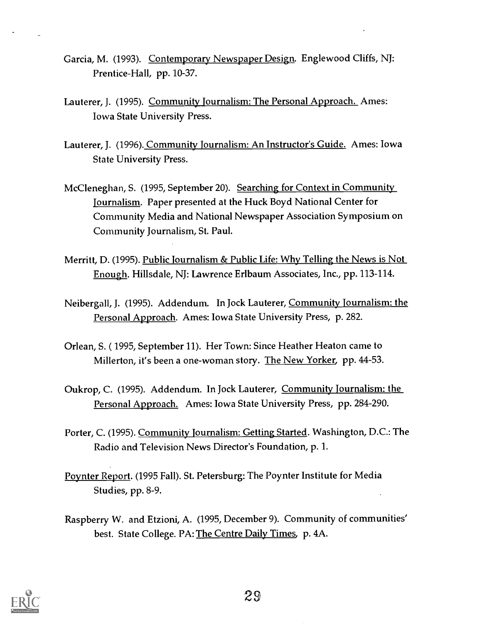- Garcia, M. (1993). Contemporary Newspaper Design. Englewood Cliffs, NJ: Prentice-Hall, pp. 10-37.
- Lauterer, J. (1995). Community Journalism: The Personal Approach. Ames: Iowa State University Press.
- Lauterer, J. (1996). Community Journalism: An Instructor's Guide. Ames: Iowa State University Press.
- McCleneghan, S. (1995, September 20). Searching for Context in Community Journalism. Paper presented at the Huck Boyd National Center for Community Media and National Newspaper Association Symposium on Community Journalism, St. Paul.
- Merritt, D. (1995). Public Journalism & Public Life: Why Telling the News is Not Enough. Hillsdale, NJ: Lawrence Erlbaum Associates, Inc., pp. 113-114.
- Neibergall, J. (1995). Addendum. In Jock Lauterer, Community Journalism: the Personal Approach. Ames: Iowa State University Press, p. 282.
- Orlean, S. (1995, September 11). Her Town: Since Heather Heaton came to Millerton, it's been a one-woman story. The New Yorker, pp. 44-53.
- Oukrop, C. (1995). Addendum. In Jock Lauterer, Community Journalism: the Personal Approach. Ames: Iowa State University Press, pp. 284-290.
- Porter, C. (1995). Community Journalism: Getting Started. Washington, D.C.: The Radio and Television News Director's Foundation, p. 1.
- Poynter Report. (1995 Fall). St. Petersburg: The Poynter Institute for Media Studies, pp. 8-9.
- Raspberry W. and Etzioni, A. (1995, December 9). Community of communities' best. State College. PA: The Centre Daily Times, p. 4A.

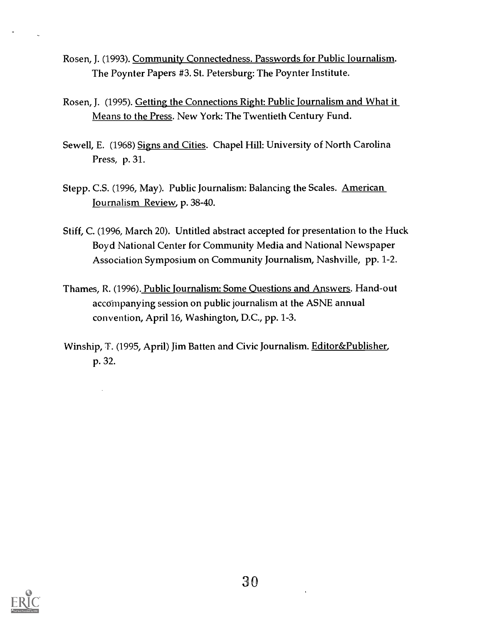- Rosen, J. (1993). Community Connectedness. Passwords for Public Journalism. The Poynter Papers #3. St. Petersburg: The Poynter Institute.
- Rosen, J. (1995). Getting the Connections Right: Public journalism and What it Means to the Press. New York: The Twentieth Century Fund.
- Sewell, E. (1968) Signs and Cities. Chapel Hill: University of North Carolina Press, p. 31.
- Stepp. C.S. (1996, May). Public Journalism: Balancing the Scales. American Journalism Review, p. 38-40.
- Stiff, C. (1996, March 20). Untitled abstract accepted for presentation to the Huck Boyd National Center for Community Media and National Newspaper Association Symposium on Community Journalism, Nashville, pp. 1-2.
- Thames, R. (1996). Public Journalism: Some Questions and Answers. Hand-out accompanying session on public journalism at the ASNE annual convention, April 16, Washington, D.C., pp. 1-3.
- Winship, T. (1995, April) Jim Batten and Civic Journalism. Editor&Publisher, p. 32.

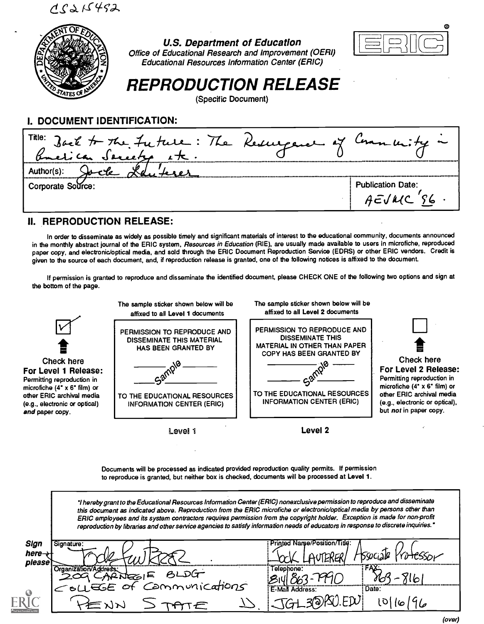$C\geqslant C$ 492



#### U.S. Department of Education Office of Educational Research and Improvement (OERI) Educational Resources Information Center (ERIC)



# REPRODUCTION RELEASE

(Specific Document)

## I. DOCUMENT IDENTIFICATION:

| Title: Back to the Future: The Resurgence of |                          |
|----------------------------------------------|--------------------------|
| Author(s):                                   |                          |
| Corporate Source:                            | <b>Publication Date:</b> |

## II. REPRODUCTION RELEASE:

In order to disseminate as widely as possible timely and significant materials of interest to the educational community, documents announced in the monthly abstract journal of the ERIC system, Resources in Education (RIE), are usually made available to users in microfiche, reproduced paper copy, and electronic/optical media, and sold through the ERIC Document Reproduction Service (EDRS) or other ERIC vendors. Credit is given to the source of each document, and, if reproduction release is granted, one of the following notices is affixed to the document.

If permission is granted to reproduce and disseminate the identified document, please CHECK ONE of the following two options and sign at the bottom of the page.



Documents will be processed as indicated provided reproduction quality permits. If permission to reproduce is granted, but neither box is checked, documents will be processed at Level 1.

|                          | "I hereby grant to the Educational Resources Information Center (ERIC) nonexclusive permission to reproduce and disseminate<br>this document as indicated above. Reproduction from the ERIC microfiche or electronic/optical media by persons other than<br>ERIC employees and its system contractors requires permission from the copyright holder. Exception is made for non-profit<br>reproduction by libraries and other service agencies to satisfy information needs of educators in response to discrete inquiries." |                          |
|--------------------------|-----------------------------------------------------------------------------------------------------------------------------------------------------------------------------------------------------------------------------------------------------------------------------------------------------------------------------------------------------------------------------------------------------------------------------------------------------------------------------------------------------------------------------|--------------------------|
| Sign<br>nere-t<br>please | Signature:                                                                                                                                                                                                                                                                                                                                                                                                                                                                                                                  | <b>Printed Name</b>      |
|                          | tion/Address:<br>TNEOIF BLDG<br>COLLEGE of Communications                                                                                                                                                                                                                                                                                                                                                                                                                                                                   | Telephone:               |
| $\bullet$                |                                                                                                                                                                                                                                                                                                                                                                                                                                                                                                                             | E-Mail Address:<br>Date: |